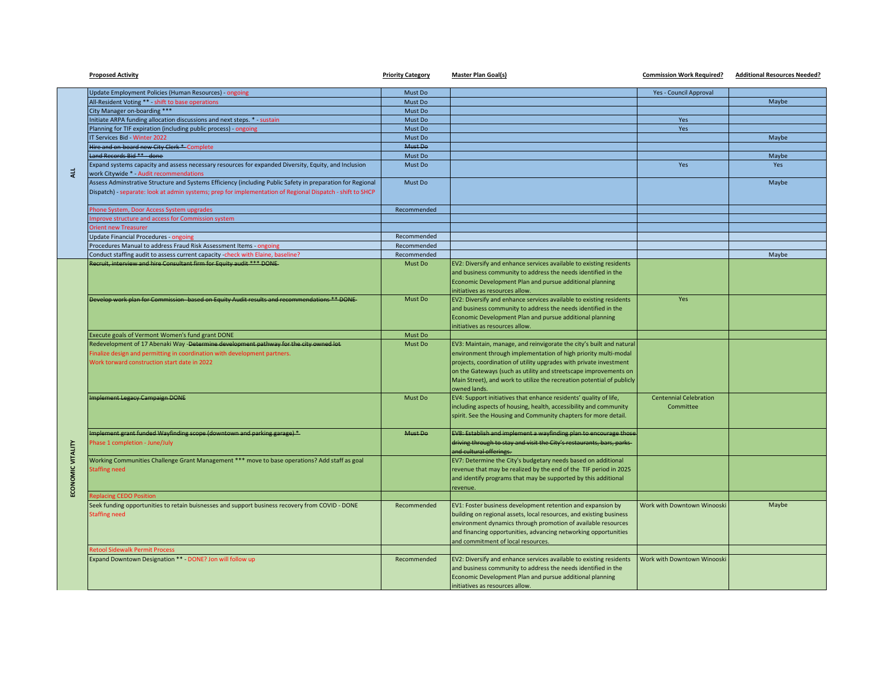|                   | <b>Proposed Activity</b>                                                                                                                                                                                                | <b>Priority Category</b> | <b>Master Plan Goal(s)</b>                                             | <b>Commission Work Required?</b> | <b>Additional Resources Needed?</b> |
|-------------------|-------------------------------------------------------------------------------------------------------------------------------------------------------------------------------------------------------------------------|--------------------------|------------------------------------------------------------------------|----------------------------------|-------------------------------------|
|                   | Update Employment Policies (Human Resources) - ongoing                                                                                                                                                                  | Must Do                  |                                                                        | Yes - Council Approval           |                                     |
|                   | All-Resident Voting ** - shift to base operations                                                                                                                                                                       | Must Do                  |                                                                        |                                  | Maybe                               |
| $\frac{1}{4}$     | City Manager on-boarding ***                                                                                                                                                                                            | Must Do                  |                                                                        |                                  |                                     |
|                   | Initiate ARPA funding allocation discussions and next steps. * - sustain                                                                                                                                                | Must Do                  |                                                                        | Yes                              |                                     |
|                   | Planning for TIF expiration (including public process) - ongoing                                                                                                                                                        | Must Do                  |                                                                        | Yes                              |                                     |
|                   | IT Services Bid - Winter 2022                                                                                                                                                                                           | Must Do                  |                                                                        |                                  | Maybe                               |
|                   | Hire and on-board new City Clerk * Complete                                                                                                                                                                             | Must Do                  |                                                                        |                                  |                                     |
|                   | Land Records Bid ** - done                                                                                                                                                                                              | Must Do                  |                                                                        |                                  | Maybe                               |
|                   | Expand systems capacity and assess necessary resources for expanded Diversity, Equity, and Inclusion<br>work Citywide * - Audit recommendations                                                                         | Must Do                  |                                                                        | <b>Yes</b>                       | Yes                                 |
|                   | Assess Adminstrative Structure and Systems Efficiency (including Public Safety in preparation for Regional<br>Dispatch) - separate: look at admin systems; prep for implementation of Regional Dispatch - shift to SHCP | Must Do                  |                                                                        |                                  | Maybe                               |
|                   | Phone System, Door Access System upgrades                                                                                                                                                                               | Recommended              |                                                                        |                                  |                                     |
|                   | mprove structure and access for Commission system                                                                                                                                                                       |                          |                                                                        |                                  |                                     |
|                   | <b>Orient new Treasurer</b>                                                                                                                                                                                             |                          |                                                                        |                                  |                                     |
|                   | <b>Update Financial Procedures - ongoing</b>                                                                                                                                                                            | Recommended              |                                                                        |                                  |                                     |
|                   | Procedures Manual to address Fraud Risk Assessment Items - ongoing                                                                                                                                                      | Recommended              |                                                                        |                                  |                                     |
|                   | Conduct staffing audit to assess current capacity -check with Elaine, baseline?                                                                                                                                         | Recommended              |                                                                        |                                  | Maybe                               |
|                   | Recruit, interview and hire Consultant firm for Equity audit *** DONE                                                                                                                                                   | Must Do                  | EV2: Diversify and enhance services available to existing residents    |                                  |                                     |
|                   |                                                                                                                                                                                                                         |                          | and business community to address the needs identified in the          |                                  |                                     |
|                   |                                                                                                                                                                                                                         |                          | Economic Development Plan and pursue additional planning               |                                  |                                     |
|                   |                                                                                                                                                                                                                         |                          | initiatives as resources allow.                                        |                                  |                                     |
|                   | Develop work plan for Commission- based on Equity Audit results and recommendations ** DONE-                                                                                                                            | Must Do                  | EV2: Diversify and enhance services available to existing residents    | Yes                              |                                     |
|                   |                                                                                                                                                                                                                         |                          | and business community to address the needs identified in the          |                                  |                                     |
|                   |                                                                                                                                                                                                                         |                          | Economic Development Plan and pursue additional planning               |                                  |                                     |
|                   |                                                                                                                                                                                                                         |                          | initiatives as resources allow.                                        |                                  |                                     |
|                   | Execute goals of Vermont Women's fund grant DONE                                                                                                                                                                        | Must Do                  |                                                                        |                                  |                                     |
|                   | Redevelopment of 17 Abenaki Way -Determine development pathway for the city owned lot-                                                                                                                                  | Must Do                  | EV3: Maintain, manage, and reinvigorate the city's built and natural   |                                  |                                     |
|                   | Finalize design and permitting in coordination with development partners.                                                                                                                                               |                          | environment through implementation of high priority multi-modal        |                                  |                                     |
|                   | Work torward construction start date in 2022                                                                                                                                                                            |                          | projects, coordination of utility upgrades with private investment     |                                  |                                     |
|                   |                                                                                                                                                                                                                         |                          | on the Gateways (such as utility and streetscape improvements on       |                                  |                                     |
|                   |                                                                                                                                                                                                                         |                          | Main Street), and work to utilize the recreation potential of publicly |                                  |                                     |
|                   |                                                                                                                                                                                                                         |                          | owned lands.                                                           |                                  |                                     |
|                   | <b>Implement Legacy Campaign DONE</b>                                                                                                                                                                                   | Must Do                  | EV4: Support initiatives that enhance residents' quality of life,      | <b>Centennial Celebration</b>    |                                     |
|                   |                                                                                                                                                                                                                         |                          | including aspects of housing, health, accessibility and community      | Committee                        |                                     |
|                   |                                                                                                                                                                                                                         |                          | spirit. See the Housing and Community chapters for more detail.        |                                  |                                     |
|                   |                                                                                                                                                                                                                         |                          |                                                                        |                                  |                                     |
|                   | Implement grant funded Wayfinding scope (downtown and parking garage) *                                                                                                                                                 | Must Do                  | EV8: Establish and implement a wayfinding plan to encourage those      |                                  |                                     |
|                   | hase 1 completion - June/July                                                                                                                                                                                           |                          | driving through to stay and visit the City's restaurants, bars, parks- |                                  |                                     |
|                   |                                                                                                                                                                                                                         |                          | and cultural offerings.                                                |                                  |                                     |
|                   | Working Communities Challenge Grant Management *** move to base operations? Add staff as goal                                                                                                                           |                          | EV7: Determine the City's budgetary needs based on additional          |                                  |                                     |
|                   | <b>Staffing need</b>                                                                                                                                                                                                    |                          | revenue that may be realized by the end of the TIF period in 2025      |                                  |                                     |
|                   |                                                                                                                                                                                                                         |                          | and identify programs that may be supported by this additional         |                                  |                                     |
| ECONOMIC VITALITY |                                                                                                                                                                                                                         |                          | revenue.                                                               |                                  |                                     |
|                   | eplacing CEDO Position                                                                                                                                                                                                  |                          |                                                                        |                                  |                                     |
|                   | Seek funding opportunities to retain buisnesses and support business recovery from COVID - DONE                                                                                                                         | Recommended              | EV1: Foster business development retention and expansion by            | Work with Downtown Winooski      | Maybe                               |
|                   | <b>Staffing need</b>                                                                                                                                                                                                    |                          | building on regional assets, local resources, and existing business    |                                  |                                     |
|                   |                                                                                                                                                                                                                         |                          | environment dynamics through promotion of available resources          |                                  |                                     |
|                   |                                                                                                                                                                                                                         |                          | and financing opportunities, advancing networking opportunities        |                                  |                                     |
|                   |                                                                                                                                                                                                                         |                          | and commitment of local resources.                                     |                                  |                                     |
|                   | etool Sidewalk Permit Process                                                                                                                                                                                           |                          |                                                                        |                                  |                                     |
|                   | Expand Downtown Designation ** - DONE? Jon will follow up                                                                                                                                                               | Recommended              | EV2: Diversify and enhance services available to existing residents    | Work with Downtown Winooski      |                                     |
|                   |                                                                                                                                                                                                                         |                          | and business community to address the needs identified in the          |                                  |                                     |
|                   |                                                                                                                                                                                                                         |                          | Economic Development Plan and pursue additional planning               |                                  |                                     |
|                   |                                                                                                                                                                                                                         |                          | initiatives as resources allow.                                        |                                  |                                     |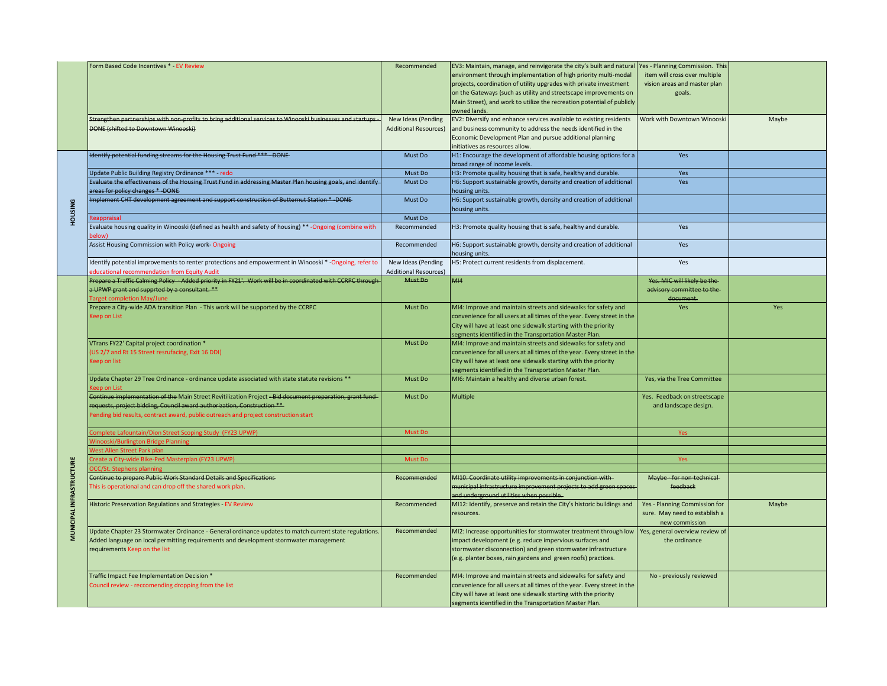|                          | Form Based Code Incentives * - EV Review                                                                                                                                                                                                                                   | Recommended                                        | EV3: Maintain, manage, and reinvigorate the city's built and natural<br>environment through implementation of high priority multi-modal<br>projects, coordination of utility upgrades with private investment<br>on the Gateways (such as utility and streetscape improvements on<br>Main Street), and work to utilize the recreation potential of publicly | Yes - Planning Commission. This<br>item will cross over multiple<br>vision areas and master plan<br>goals. |       |
|--------------------------|----------------------------------------------------------------------------------------------------------------------------------------------------------------------------------------------------------------------------------------------------------------------------|----------------------------------------------------|-------------------------------------------------------------------------------------------------------------------------------------------------------------------------------------------------------------------------------------------------------------------------------------------------------------------------------------------------------------|------------------------------------------------------------------------------------------------------------|-------|
|                          | Strengthen partnerships with non-profits to bring additional services to Winooski businesses and startups -<br>DONE (shifted to Downtown Winooski)                                                                                                                         | New Ideas (Pending<br><b>Additional Resources)</b> | owned lands.<br>EV2: Diversify and enhance services available to existing residents<br>and business community to address the needs identified in the<br>Economic Development Plan and pursue additional planning<br>initiatives as resources allow.                                                                                                         | Work with Downtown Winooski                                                                                | Maybe |
|                          | Identify potential funding streams for the Housing Trust Fund *** - DONE-                                                                                                                                                                                                  | Must Do                                            | H1: Encourage the development of affordable housing options for a<br>broad range of income levels.                                                                                                                                                                                                                                                          | Yes                                                                                                        |       |
|                          | Update Public Building Registry Ordinance *** - redo                                                                                                                                                                                                                       | Must Do                                            | H3: Promote quality housing that is safe, healthy and durable.                                                                                                                                                                                                                                                                                              | Yes                                                                                                        |       |
| <b>BNISNOH</b>           | Evaluate the effectiveness of the Housing Trust Fund in addressing Master Plan housing goals, and identify<br>areas for policy changes *-DONE                                                                                                                              | Must Do                                            | H6: Support sustainable growth, density and creation of additional<br>housing units.                                                                                                                                                                                                                                                                        | Yes                                                                                                        |       |
|                          | Implement CHT development agreement and support construction of Butternut Station *-DONE-                                                                                                                                                                                  | Must Do                                            | H6: Support sustainable growth, density and creation of additional<br>housing units.                                                                                                                                                                                                                                                                        |                                                                                                            |       |
|                          | <b>leappraisal</b>                                                                                                                                                                                                                                                         | Must Do                                            |                                                                                                                                                                                                                                                                                                                                                             |                                                                                                            |       |
|                          | Evaluate housing quality in Winooski (defined as health and safety of housing) ** -Ongoing (combine with<br>elow)                                                                                                                                                          | Recommended                                        | H3: Promote quality housing that is safe, healthy and durable.                                                                                                                                                                                                                                                                                              | Yes                                                                                                        |       |
|                          | Assist Housing Commission with Policy work-Ongoing                                                                                                                                                                                                                         | Recommended                                        | H6: Support sustainable growth, density and creation of additional<br>housing units.                                                                                                                                                                                                                                                                        | Yes                                                                                                        |       |
|                          | Identify potential improvements to renter protections and empowerment in Winooski *- Ongoing, refer to<br>ducational recommendation from Equity Audit                                                                                                                      | New Ideas (Pending<br><b>Additional Resources)</b> | H5: Protect current residents from displacement.                                                                                                                                                                                                                                                                                                            | Yes                                                                                                        |       |
|                          | Prepare a Traffic Calming Policy - Added priority in FY21'. Work will be in coordinated with CCRPC through<br>a UPWP grant and supprted by a consultant. **<br>Target completion May/June                                                                                  | Must Do                                            | MI4                                                                                                                                                                                                                                                                                                                                                         | Yes. MIC will likely be the<br>advisory committee to the-<br>document.                                     |       |
|                          | Prepare a City-wide ADA transition Plan - This work will be supported by the CCRPC<br><b>Ceep on List</b>                                                                                                                                                                  | Must Do                                            | MI4: Improve and maintain streets and sidewalks for safety and<br>convenience for all users at all times of the year. Every street in the<br>City will have at least one sidewalk starting with the priority<br>segments identified in the Transportation Master Plan.                                                                                      | Yes                                                                                                        | Yes   |
|                          | VTrans FY22' Capital project coordination *<br>(US 2/7 and Rt 15 Street resrufacing, Exit 16 DDI)<br>Keep on list                                                                                                                                                          | Must Do                                            | MI4: Improve and maintain streets and sidewalks for safety and<br>convenience for all users at all times of the year. Every street in the<br>City will have at least one sidewalk starting with the priority<br>segments identified in the Transportation Master Plan.                                                                                      |                                                                                                            |       |
|                          | Update Chapter 29 Tree Ordinance - ordinance update associated with state statute revisions **<br>een on List                                                                                                                                                              | Must Do                                            | MI6: Maintain a healthy and diverse urban forest.                                                                                                                                                                                                                                                                                                           | Yes, via the Tree Committee                                                                                |       |
|                          | Continue implementation of the Main Street Revitilization Project -Bid document preparation, grant fund-<br>requests, project bidding, Council award authorization, Construction **<br>Pending bid results, contract award, public outreach and project construction start | Must Do                                            | Multiple                                                                                                                                                                                                                                                                                                                                                    | Yes. Feedback on streetscape<br>and landscape design.                                                      |       |
|                          | omplete Lafountain/Dion Street Scoping Study (FY23 UPWP)                                                                                                                                                                                                                   | Must Do                                            |                                                                                                                                                                                                                                                                                                                                                             | Yes                                                                                                        |       |
|                          | nooski/Burlington Bridge Planning                                                                                                                                                                                                                                          |                                                    |                                                                                                                                                                                                                                                                                                                                                             |                                                                                                            |       |
|                          | est Allen Street Park plan                                                                                                                                                                                                                                                 |                                                    |                                                                                                                                                                                                                                                                                                                                                             |                                                                                                            |       |
|                          | eate a City-wide Bike-Ped Masterplan (FY23 UPWP)                                                                                                                                                                                                                           | <b>Must Do</b>                                     |                                                                                                                                                                                                                                                                                                                                                             | Yes                                                                                                        |       |
|                          |                                                                                                                                                                                                                                                                            |                                                    |                                                                                                                                                                                                                                                                                                                                                             |                                                                                                            |       |
| MUNICIPAL INFRASTRUCTURE | Continue to prepare Public Work Standard Details and Specifications-<br>This is operational and can drop off the shared work plan.                                                                                                                                         | Recommended                                        | MI10: Coordinate utility improvements in conjunction with-<br>municipal infrastructure improvement projects to add green spaces<br>and underground utilities when possible.                                                                                                                                                                                 | Maybe - for non-technical-<br>feedback                                                                     |       |
|                          | Historic Preservation Regulations and Strategies - EV Review                                                                                                                                                                                                               | Recommended                                        | MI12: Identify, preserve and retain the City's historic buildings and<br>resources.                                                                                                                                                                                                                                                                         | Yes - Planning Commission for<br>sure. May need to establish a<br>new commission                           | Maybe |
|                          | Update Chapter 23 Stormwater Ordinance - General ordinance updates to match current state regulations.<br>Added language on local permitting requirements and development stormwater management<br>requirements Keep on the list                                           | Recommended                                        | MI2: Increase opportunities for stormwater treatment through low<br>impact development (e.g. reduce impervious surfaces and<br>stormwater disconnection) and green stormwater infrastructure<br>(e.g. planter boxes, rain gardens and green roofs) practices.                                                                                               | Yes, general overview review of<br>the ordinance                                                           |       |
|                          | Traffic Impact Fee Implementation Decision *<br>Council review - reccomending dropping from the list                                                                                                                                                                       | Recommended                                        | MI4: Improve and maintain streets and sidewalks for safety and<br>convenience for all users at all times of the year. Every street in the<br>City will have at least one sidewalk starting with the priority<br>segments identified in the Transportation Master Plan.                                                                                      | No - previously reviewed                                                                                   |       |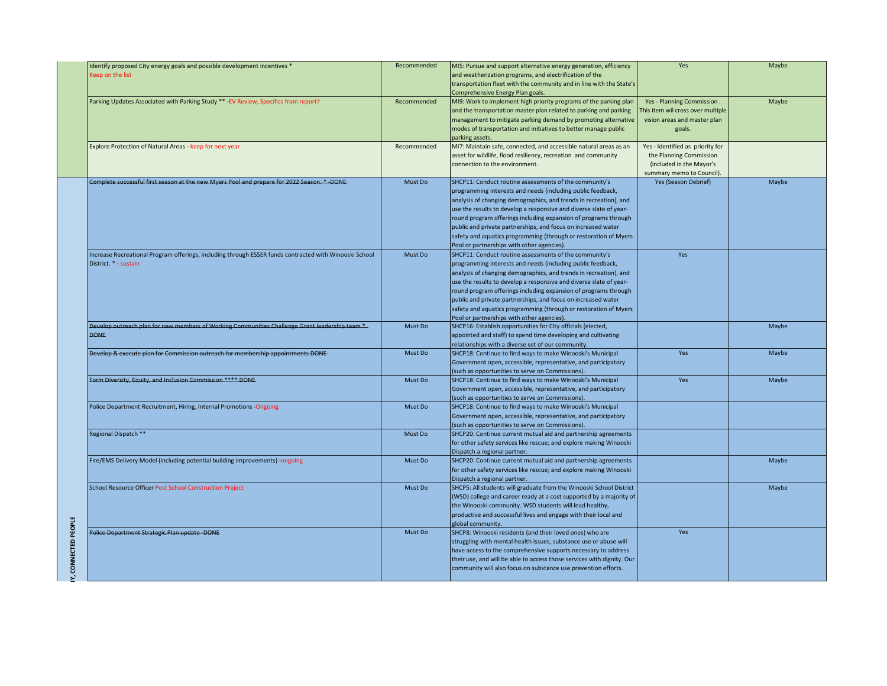|                     | Identify proposed City energy goals and possible development incentives *<br>Keep on the list                                   | Recommended | MI5: Pursue and support alternative energy generation, efficiency<br>and weatherization programs, and electrification of the<br>transportation fleet with the community and in line with the State's<br>Comprehensive Energy Plan goals.                                                                                                                                                                                                                                                                               | Yes                                                                                                                  | Maybe |
|---------------------|---------------------------------------------------------------------------------------------------------------------------------|-------------|------------------------------------------------------------------------------------------------------------------------------------------------------------------------------------------------------------------------------------------------------------------------------------------------------------------------------------------------------------------------------------------------------------------------------------------------------------------------------------------------------------------------|----------------------------------------------------------------------------------------------------------------------|-------|
|                     | Parking Updates Associated with Parking Study ** - EV Review, Specifics from report?                                            | Recommended | MI9: Work to implement high priority programs of the parking plan<br>and the transportation master plan related to parking and parking<br>management to mitigate parking demand by promoting alternative<br>modes of transportation and initiatives to better manage public<br>parking assets.                                                                                                                                                                                                                         | Yes - Planning Commission.<br>his item wil cross over multiple<br>vision areas and master plan<br>goals.             | Maybe |
|                     | Explore Protection of Natural Areas - keep for next year                                                                        | Recommended | MI7: Maintain safe, connected, and accessible natural areas as an<br>asset for wildlife, flood resiliency, recreation and community<br>connection to the environment.                                                                                                                                                                                                                                                                                                                                                  | Yes - Identified as priority for<br>the Planning Commission<br>(included in the Mayor's<br>summary memo to Council). |       |
|                     | Complete successful first season at the new Myers Pool and prepare for 2022 Season. *- DONE-                                    | Must Do     | SHCP11: Conduct routine assessments of the community's<br>programming interests and needs (including public feedback,<br>analysis of changing demographics, and trends in recreation), and<br>use the results to develop a responsive and diverse slate of year-<br>round program offerings including expansion of programs through<br>public and private partnerships, and focus on increased water<br>safety and aquatics programming (through or restoration of Myers<br>Pool or partnerships with other agencies). | Yes (Season Debrief)                                                                                                 | Maybe |
|                     | Increase Recreational Program offerings, including through ESSER funds contracted with Winooski School<br>District. * - sustain | Must Do     | SHCP11: Conduct routine assessments of the community's<br>programming interests and needs (including public feedback,<br>analysis of changing demographics, and trends in recreation), and<br>use the results to develop a responsive and diverse slate of year-<br>round program offerings including expansion of programs through<br>public and private partnerships, and focus on increased water<br>safety and aquatics programming (through or restoration of Myers<br>Pool or partnerships with other agencies). | Yes                                                                                                                  |       |
|                     | Develop outreach plan for new members of Working Communities Challenge Grant leadership team *-<br><b>DONE</b>                  | Must Do     | SHCP16: Establish opportunities for City officials (elected,<br>appointed and staff) to spend time developing and cultivating<br>relationships with a diverse set of our community.                                                                                                                                                                                                                                                                                                                                    |                                                                                                                      | Maybe |
|                     | Develop & execute plan for Commission outreach for membership appointments DONE                                                 | Must Do     | SHCP18: Continue to find ways to make Winooski's Municipal<br>Government open, accessible, representative, and participatory<br>(such as opportunities to serve on Commissions).                                                                                                                                                                                                                                                                                                                                       | Yes                                                                                                                  | Maybe |
|                     | Form Diversity, Equity, and Inclusion Commission **** DONE                                                                      | Must Do     | SHCP18: Continue to find ways to make Winooski's Municipal<br>Government open, accessible, representative, and participatory<br>(such as opportunities to serve on Commissions).                                                                                                                                                                                                                                                                                                                                       | Yes                                                                                                                  | Maybe |
|                     | Police Department Recruitment, Hiring, Internal Promotions -Ongoing                                                             | Must Do     | SHCP18: Continue to find ways to make Winooski's Municipal<br>Government open, accessible, representative, and participatory<br>(such as opportunities to serve on Commissions).                                                                                                                                                                                                                                                                                                                                       |                                                                                                                      |       |
|                     | Regional Dispatch **                                                                                                            | Must Do     | SHCP20: Continue current mutual aid and partnership agreements<br>for other safety services like rescue; and explore making Winooski<br>Dispatch a regional partner.                                                                                                                                                                                                                                                                                                                                                   |                                                                                                                      |       |
|                     | Fire/EMS Delivery Model (including potential building improvements) -ongoing                                                    | Must Do     | SHCP20: Continue current mutual aid and partnership agreements<br>for other safety services like rescue; and explore making Winooski<br>Dispatch a regional partner.                                                                                                                                                                                                                                                                                                                                                   |                                                                                                                      | Maybe |
|                     | <b>School Resource Officer Post School Construction Project</b>                                                                 | Must Do     | SHCP5: All students will graduate from the Winooski School District<br>(WSD) college and career ready at a cost supported by a majority of<br>the Winooski community. WSD students will lead healthy,<br>productive and successful lives and engage with their local and<br>global community.                                                                                                                                                                                                                          |                                                                                                                      | Maybe |
| Y, CONNECTED PEOPLE | Police Department Strategic Plan update -DONE                                                                                   | Must Do     | SHCP8: Winooski residents (and their loved ones) who are<br>struggling with mental health issues, substance use or abuse will<br>have access to the comprehensive supports necessary to address<br>their use, and will be able to access those services with dignity. Our<br>community will also focus on substance use prevention efforts.                                                                                                                                                                            | Yes                                                                                                                  |       |